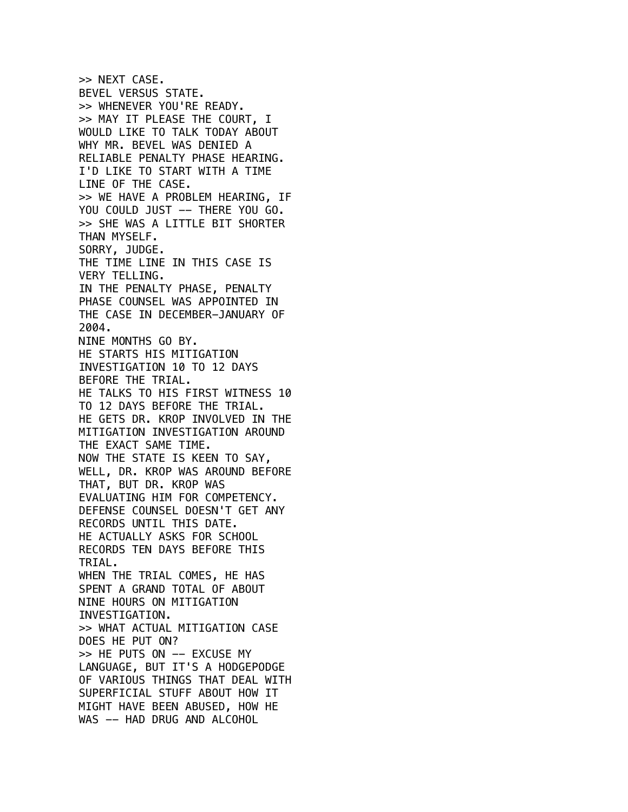>> NEXT CASE. BEVEL VERSUS STATE. >> WHENEVER YOU'RE READY. >> MAY IT PLEASE THE COURT, I WOULD LIKE TO TALK TODAY ABOUT WHY MR. BEVEL WAS DENIED A RELIABLE PENALTY PHASE HEARING. I'D LIKE TO START WITH A TIME LINE OF THE CASE. >> WE HAVE A PROBLEM HEARING, IF YOU COULD JUST -- THERE YOU GO. >> SHE WAS A LITTLE BIT SHORTER THAN MYSELF. SORRY, JUDGE. THE TIME LINE IN THIS CASE IS VERY TELLING. IN THE PENALTY PHASE, PENALTY PHASE COUNSEL WAS APPOINTED IN THE CASE IN DECEMBER-JANUARY OF 2004. NINE MONTHS GO BY. HE STARTS HIS MITIGATION INVESTIGATION 10 TO 12 DAYS BEFORE THE TRIAL. HE TALKS TO HIS FIRST WITNESS 10 TO 12 DAYS BEFORE THE TRIAL. HE GETS DR. KROP INVOLVED IN THE MITIGATION INVESTIGATION AROUND THE EXACT SAME TIME. NOW THE STATE IS KEEN TO SAY, WELL, DR. KROP WAS AROUND BEFORE THAT, BUT DR. KROP WAS EVALUATING HIM FOR COMPETENCY. DEFENSE COUNSEL DOESN'T GET ANY RECORDS UNTIL THIS DATE. HE ACTUALLY ASKS FOR SCHOOL RECORDS TEN DAYS BEFORE THIS TRIAL. WHEN THE TRIAL COMES, HE HAS SPENT A GRAND TOTAL OF ABOUT NINE HOURS ON MITIGATION INVESTIGATION. >> WHAT ACTUAL MITIGATION CASE DOES HE PUT ON? >> HE PUTS ON -- EXCUSE MY LANGUAGE, BUT IT'S A HODGEPODGE OF VARIOUS THINGS THAT DEAL WITH SUPERFICIAL STUFF ABOUT HOW IT MIGHT HAVE BEEN ABUSED, HOW HE WAS -- HAD DRUG AND ALCOHOL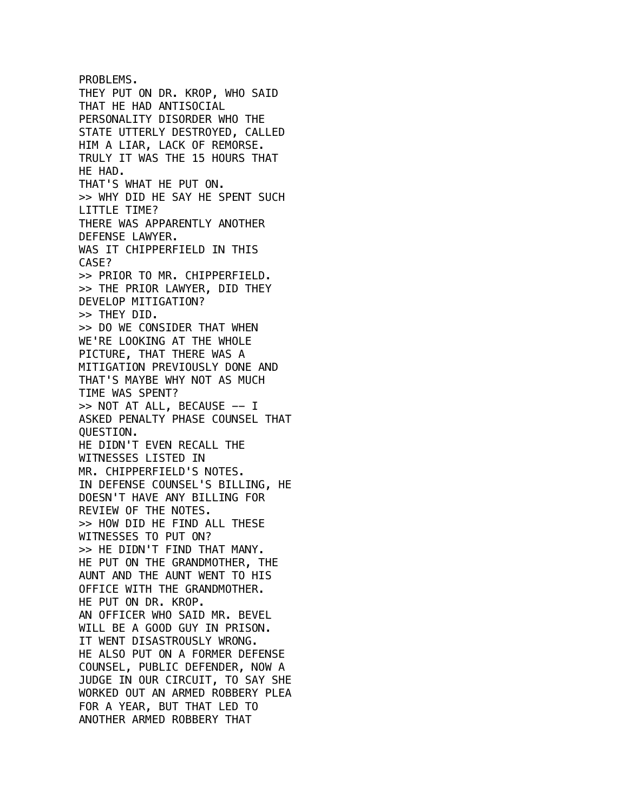PROBLEMS. THEY PUT ON DR. KROP, WHO SAID THAT HE HAD ANTISOCIAL PERSONALITY DISORDER WHO THE STATE UTTERLY DESTROYED, CALLED HIM A LIAR, LACK OF REMORSE. TRULY IT WAS THE 15 HOURS THAT HE HAD. THAT'S WHAT HE PUT ON. >> WHY DID HE SAY HE SPENT SUCH LITTLE TIME? THERE WAS APPARENTLY ANOTHER DEFENSE LAWYER. WAS IT CHIPPERFIELD IN THIS CASE? >> PRIOR TO MR. CHIPPERFIELD. >> THE PRIOR LAWYER, DID THEY DEVELOP MITIGATION? >> THEY DID. >> DO WE CONSIDER THAT WHEN WE'RE LOOKING AT THE WHOLE PICTURE, THAT THERE WAS A MITIGATION PREVIOUSLY DONE AND THAT'S MAYBE WHY NOT AS MUCH TIME WAS SPENT? >> NOT AT ALL, BECAUSE -- I ASKED PENALTY PHASE COUNSEL THAT QUESTION. HE DIDN'T EVEN RECALL THE WITNESSES LISTED IN MR. CHIPPERFIELD'S NOTES. IN DEFENSE COUNSEL'S BILLING, HE DOESN'T HAVE ANY BILLING FOR REVIEW OF THE NOTES. >> HOW DID HE FIND ALL THESE WITNESSES TO PUT ON? >> HE DIDN'T FIND THAT MANY. HE PUT ON THE GRANDMOTHER, THE AUNT AND THE AUNT WENT TO HIS OFFICE WITH THE GRANDMOTHER. HE PUT ON DR. KROP. AN OFFICER WHO SAID MR. BEVEL WILL BE A GOOD GUY IN PRISON. IT WENT DISASTROUSLY WRONG. HE ALSO PUT ON A FORMER DEFENSE COUNSEL, PUBLIC DEFENDER, NOW A JUDGE IN OUR CIRCUIT, TO SAY SHE WORKED OUT AN ARMED ROBBERY PLEA FOR A YEAR, BUT THAT LED TO ANOTHER ARMED ROBBERY THAT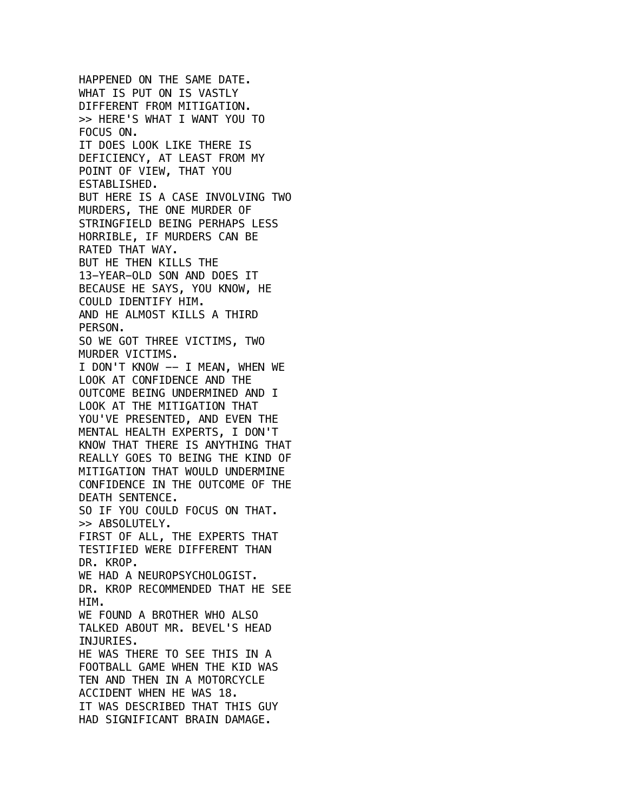HAPPENED ON THE SAME DATE. WHAT IS PUT ON IS VASTLY DIFFERENT FROM MITIGATION. >> HERE'S WHAT I WANT YOU TO FOCUS ON. IT DOES LOOK LIKE THERE IS DEFICIENCY, AT LEAST FROM MY POINT OF VIEW, THAT YOU ESTABLISHED. BUT HERE IS A CASE INVOLVING TWO MURDERS, THE ONE MURDER OF STRINGFIELD BEING PERHAPS LESS HORRIBLE, IF MURDERS CAN BE RATED THAT WAY. BUT HE THEN KILLS THE 13-YEAR-OLD SON AND DOES IT BECAUSE HE SAYS, YOU KNOW, HE COULD IDENTIFY HIM. AND HE ALMOST KILLS A THIRD PERSON. SO WE GOT THREE VICTIMS, TWO MURDER VICTIMS. I DON'T KNOW -- I MEAN, WHEN WE LOOK AT CONFIDENCE AND THE OUTCOME BEING UNDERMINED AND I LOOK AT THE MITIGATION THAT YOU'VE PRESENTED, AND EVEN THE MENTAL HEALTH EXPERTS, I DON'T KNOW THAT THERE IS ANYTHING THAT REALLY GOES TO BEING THE KIND OF MITIGATION THAT WOULD UNDERMINE CONFIDENCE IN THE OUTCOME OF THE DEATH SENTENCE. SO IF YOU COULD FOCUS ON THAT. >> ABSOLUTELY. FIRST OF ALL, THE EXPERTS THAT TESTIFIED WERE DIFFERENT THAN DR. KROP. WE HAD A NEUROPSYCHOLOGIST. DR. KROP RECOMMENDED THAT HE SEE HIM. WE FOUND A BROTHER WHO ALSO TALKED ABOUT MR. BEVEL'S HEAD INJURIES. HE WAS THERE TO SEE THIS IN A FOOTBALL GAME WHEN THE KID WAS TEN AND THEN IN A MOTORCYCLE ACCIDENT WHEN HE WAS 18. IT WAS DESCRIBED THAT THIS GUY HAD SIGNIFICANT BRAIN DAMAGE.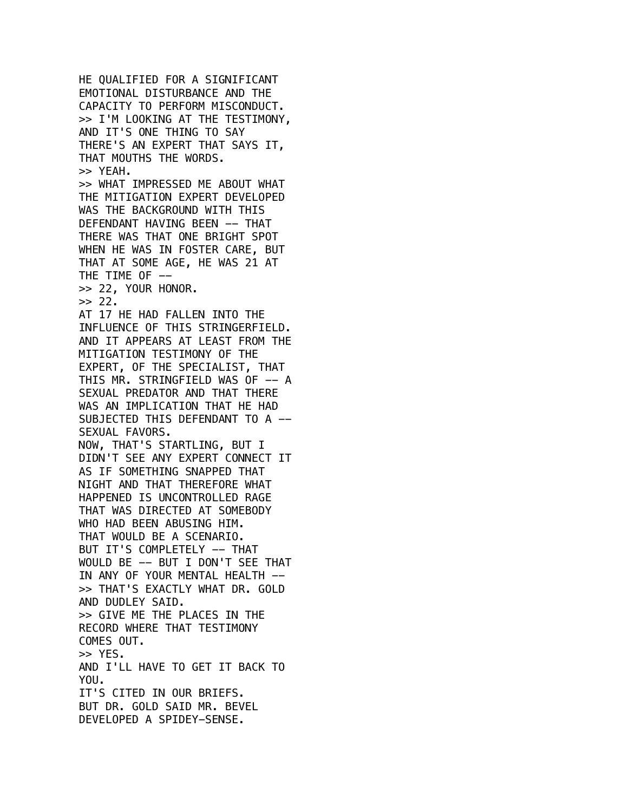HE QUALIFIED FOR A SIGNIFICANT EMOTIONAL DISTURBANCE AND THE CAPACITY TO PERFORM MISCONDUCT. >> I'M LOOKING AT THE TESTIMONY, AND IT'S ONE THING TO SAY THERE'S AN EXPERT THAT SAYS IT, THAT MOUTHS THE WORDS. >> YEAH. >> WHAT IMPRESSED ME ABOUT WHAT THE MITIGATION EXPERT DEVELOPED WAS THE BACKGROUND WITH THIS DEFENDANT HAVING BEEN -- THAT THERE WAS THAT ONE BRIGHT SPOT WHEN HE WAS IN FOSTER CARE, BUT THAT AT SOME AGE, HE WAS 21 AT THE TIME OF -->> 22, YOUR HONOR.  $>> 22.$ AT 17 HE HAD FALLEN INTO THE INFLUENCE OF THIS STRINGERFIELD. AND IT APPEARS AT LEAST FROM THE MITIGATION TESTIMONY OF THE EXPERT, OF THE SPECIALIST, THAT THIS MR. STRINGFIELD WAS OF -- A SEXUAL PREDATOR AND THAT THERE WAS AN IMPLICATION THAT HE HAD SUBJECTED THIS DEFENDANT TO A -- SEXUAL FAVORS. NOW, THAT'S STARTLING, BUT I DIDN'T SEE ANY EXPERT CONNECT IT AS IF SOMETHING SNAPPED THAT NIGHT AND THAT THEREFORE WHAT HAPPENED IS UNCONTROLLED RAGE THAT WAS DIRECTED AT SOMEBODY WHO HAD BEEN ABUSING HIM. THAT WOULD BE A SCENARIO. BUT IT'S COMPLETELY -- THAT WOULD BE -- BUT I DON'T SEE THAT IN ANY OF YOUR MENTAL HEALTH -->> THAT'S EXACTLY WHAT DR. GOLD AND DUDLEY SAID. >> GIVE ME THE PLACES IN THE RECORD WHERE THAT TESTIMONY COMES OUT. >> YES. AND I'LL HAVE TO GET IT BACK TO YOU. IT'S CITED IN OUR BRIEFS. BUT DR. GOLD SAID MR. BEVEL DEVELOPED A SPIDEY-SENSE.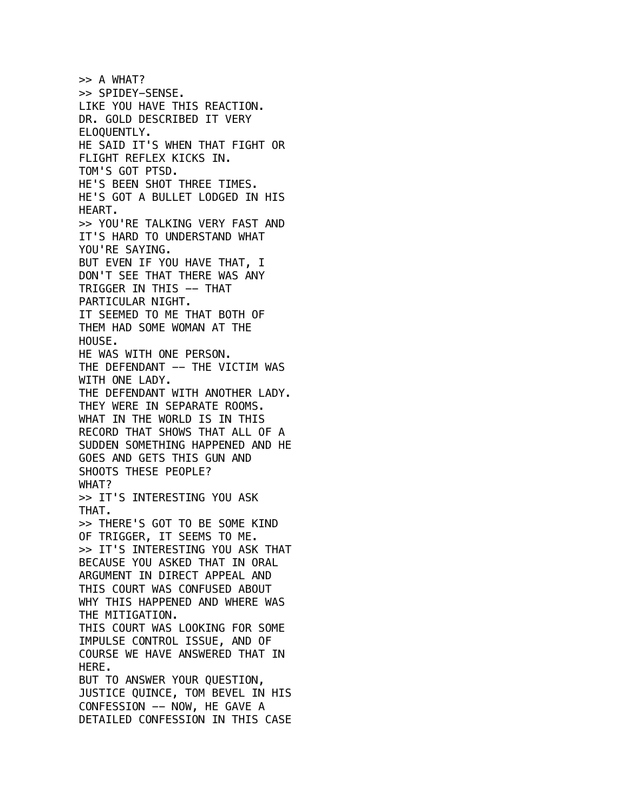>> A WHAT? >> SPIDEY-SENSE. LIKE YOU HAVE THIS REACTION. DR. GOLD DESCRIBED IT VERY ELOQUENTLY. HE SAID IT'S WHEN THAT FIGHT OR FLIGHT REFLEX KICKS IN. TOM'S GOT PTSD. HE'S BEEN SHOT THREE TIMES. HE'S GOT A BULLET LODGED IN HIS HEART. >> YOU'RE TALKING VERY FAST AND IT'S HARD TO UNDERSTAND WHAT YOU'RE SAYING. BUT EVEN IF YOU HAVE THAT, I DON'T SEE THAT THERE WAS ANY TRIGGER IN THIS -- THAT PARTICULAR NIGHT. IT SEEMED TO ME THAT BOTH OF THEM HAD SOME WOMAN AT THE HOUSE. HE WAS WITH ONE PERSON. THE DEFENDANT -- THE VICTIM WAS WITH ONE LADY. THE DEFENDANT WITH ANOTHER LADY. THEY WERE IN SEPARATE ROOMS. WHAT IN THE WORLD IS IN THIS RECORD THAT SHOWS THAT ALL OF A SUDDEN SOMETHING HAPPENED AND HE GOES AND GETS THIS GUN AND SHOOTS THESE PEOPLE? WHAT? >> IT'S INTERESTING YOU ASK THAT. >> THERE'S GOT TO BE SOME KIND OF TRIGGER, IT SEEMS TO ME. >> IT'S INTERESTING YOU ASK THAT BECAUSE YOU ASKED THAT IN ORAL ARGUMENT IN DIRECT APPEAL AND THIS COURT WAS CONFUSED ABOUT WHY THIS HAPPENED AND WHERE WAS THE MITIGATION. THIS COURT WAS LOOKING FOR SOME IMPULSE CONTROL ISSUE, AND OF COURSE WE HAVE ANSWERED THAT IN HERE. BUT TO ANSWER YOUR QUESTION, JUSTICE QUINCE, TOM BEVEL IN HIS CONFESSION -- NOW, HE GAVE A DETAILED CONFESSION IN THIS CASE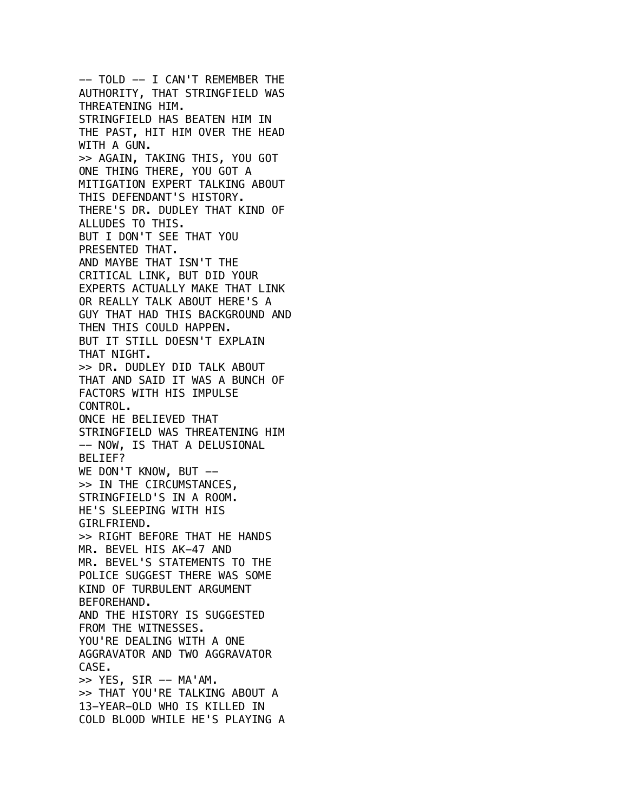-- TOLD -- I CAN'T REMEMBER THE AUTHORITY, THAT STRINGFIELD WAS THREATENING HIM. STRINGFIELD HAS BEATEN HIM IN THE PAST, HIT HIM OVER THE HEAD WITH A GUN. >> AGAIN, TAKING THIS, YOU GOT ONE THING THERE, YOU GOT A MITIGATION EXPERT TALKING ABOUT THIS DEFENDANT'S HISTORY. THERE'S DR. DUDLEY THAT KIND OF ALLUDES TO THIS. BUT I DON'T SEE THAT YOU PRESENTED THAT. AND MAYBE THAT ISN'T THE CRITICAL LINK, BUT DID YOUR EXPERTS ACTUALLY MAKE THAT LINK OR REALLY TALK ABOUT HERE'S A GUY THAT HAD THIS BACKGROUND AND THEN THIS COULD HAPPEN. BUT IT STILL DOESN'T EXPLAIN THAT NIGHT. >> DR. DUDLEY DID TALK ABOUT THAT AND SAID IT WAS A BUNCH OF FACTORS WITH HIS IMPULSE CONTROL. ONCE HE BELIEVED THAT STRINGFIELD WAS THREATENING HIM -- NOW, IS THAT A DELUSIONAL BELIEF? WE DON'T KNOW, BUT -->> IN THE CIRCUMSTANCES, STRINGFIELD'S IN A ROOM. HE'S SLEEPING WITH HIS GIRLFRIEND. >> RIGHT BEFORE THAT HE HANDS MR. BEVEL HIS AK-47 AND MR. BEVEL'S STATEMENTS TO THE POLICE SUGGEST THERE WAS SOME KIND OF TURBULENT ARGUMENT BEFOREHAND. AND THE HISTORY IS SUGGESTED FROM THE WITNESSES. YOU'RE DEALING WITH A ONE AGGRAVATOR AND TWO AGGRAVATOR CASE.  $>>$  YES, SIR -- MA'AM. >> THAT YOU'RE TALKING ABOUT A 13-YEAR-OLD WHO IS KILLED IN COLD BLOOD WHILE HE'S PLAYING A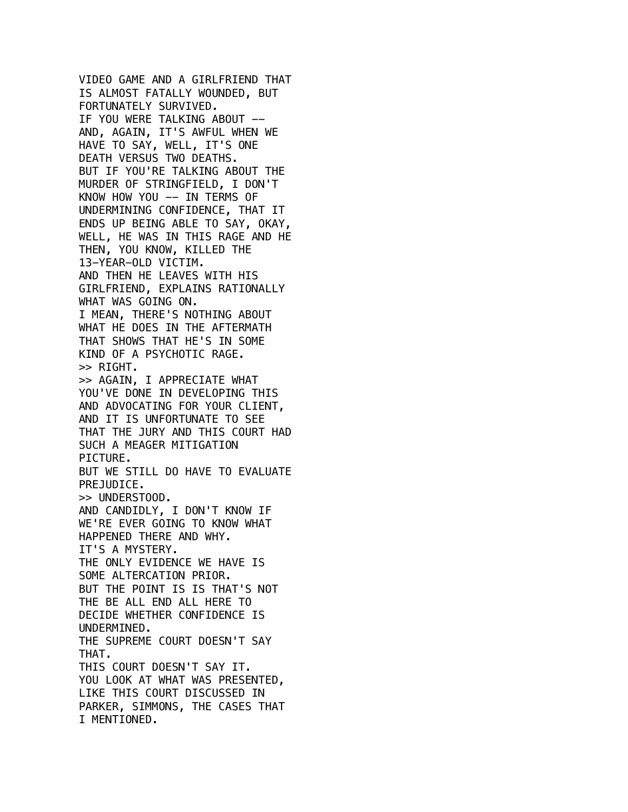VIDEO GAME AND A GIRLFRIEND THAT IS ALMOST FATALLY WOUNDED, BUT FORTUNATELY SURVIVED. IF YOU WERE TALKING ABOUT -- AND, AGAIN, IT'S AWFUL WHEN WE HAVE TO SAY, WELL, IT'S ONE DEATH VERSUS TWO DEATHS. BUT IF YOU'RE TALKING ABOUT THE MURDER OF STRINGFIELD, I DON'T KNOW HOW YOU -- IN TERMS OF UNDERMINING CONFIDENCE, THAT IT ENDS UP BEING ABLE TO SAY, OKAY, WELL, HE WAS IN THIS RAGE AND HE THEN, YOU KNOW, KILLED THE 13-YEAR-OLD VICTIM. AND THEN HE LEAVES WITH HIS GIRLFRIEND, EXPLAINS RATIONALLY WHAT WAS GOING ON. I MEAN, THERE'S NOTHING ABOUT WHAT HE DOES IN THE AFTERMATH THAT SHOWS THAT HE'S IN SOME KIND OF A PSYCHOTIC RAGE. >> RIGHT. >> AGAIN, I APPRECIATE WHAT YOU'VE DONE IN DEVELOPING THIS AND ADVOCATING FOR YOUR CLIENT, AND IT IS UNFORTUNATE TO SEE THAT THE JURY AND THIS COURT HAD SUCH A MEAGER MITIGATION PICTURE. BUT WE STILL DO HAVE TO EVALUATE PREJUDICE. >> UNDERSTOOD. AND CANDIDLY, I DON'T KNOW IF WE'RE EVER GOING TO KNOW WHAT HAPPENED THERE AND WHY. IT'S A MYSTERY. THE ONLY EVIDENCE WE HAVE IS SOME ALTERCATION PRIOR. BUT THE POINT IS IS THAT'S NOT THE BE ALL END ALL HERE TO DECIDE WHETHER CONFIDENCE IS UNDERMINED. THE SUPREME COURT DOESN'T SAY THAT. THIS COURT DOESN'T SAY IT. YOU LOOK AT WHAT WAS PRESENTED, LIKE THIS COURT DISCUSSED IN PARKER, SIMMONS, THE CASES THAT I MENTIONED.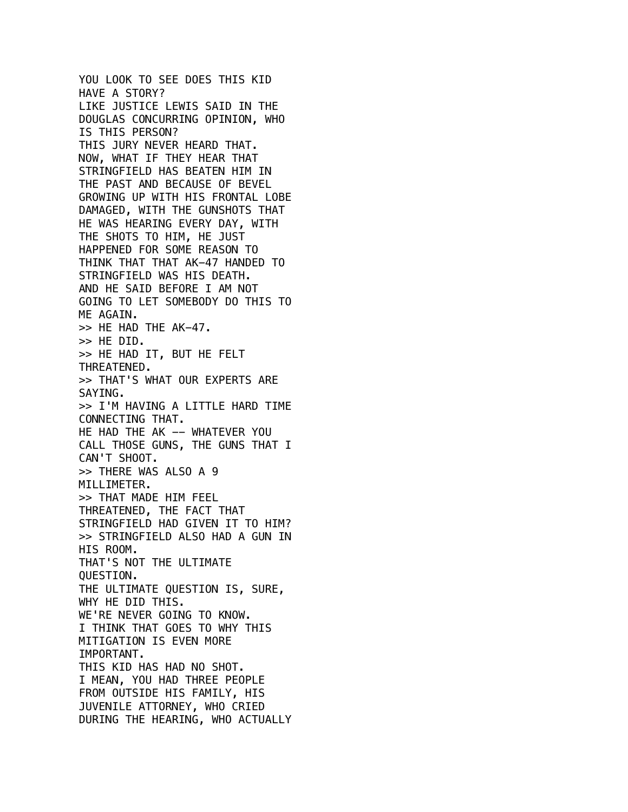```
YOU LOOK TO SEE DOES THIS KID
HAVE A STORY?
LIKE JUSTICE LEWIS SAID IN THE
DOUGLAS CONCURRING OPINION, WHO
IS THIS PERSON?
THIS JURY NEVER HEARD THAT.
NOW, WHAT IF THEY HEAR THAT
STRINGFIELD HAS BEATEN HIM IN
THE PAST AND BECAUSE OF BEVEL
GROWING UP WITH HIS FRONTAL LOBE
DAMAGED, WITH THE GUNSHOTS THAT
HE WAS HEARING EVERY DAY, WITH
THE SHOTS TO HIM, HE JUST
HAPPENED FOR SOME REASON TO
THINK THAT THAT AK-47 HANDED TO
STRINGFIELD WAS HIS DEATH.
AND HE SAID BEFORE I AM NOT
GOING TO LET SOMEBODY DO THIS TO
ME AGAIN.
>> HE HAD THE AK-47.
>> HE DID.
>> HE HAD IT, BUT HE FELT
THREATENED.
>> THAT'S WHAT OUR EXPERTS ARE
SAYING.
>> I'M HAVING A LITTLE HARD TIME
CONNECTING THAT.
HE HAD THE AK -- WHATEVER YOU
CALL THOSE GUNS, THE GUNS THAT I
CAN'T SHOOT.
>> THERE WAS ALSO A 9
MILLIMETER.
>> THAT MADE HIM FEEL
THREATENED, THE FACT THAT
STRINGFIELD HAD GIVEN IT TO HIM?
>> STRINGFIELD ALSO HAD A GUN IN
HIS ROOM.
THAT'S NOT THE ULTIMATE
QUESTION.
THE ULTIMATE QUESTION IS, SURE,
WHY HE DID THIS.
WE'RE NEVER GOING TO KNOW.
I THINK THAT GOES TO WHY THIS
MITIGATION IS EVEN MORE
IMPORTANT.
THIS KID HAS HAD NO SHOT.
I MEAN, YOU HAD THREE PEOPLE
FROM OUTSIDE HIS FAMILY, HIS
JUVENILE ATTORNEY, WHO CRIED
DURING THE HEARING, WHO ACTUALLY
```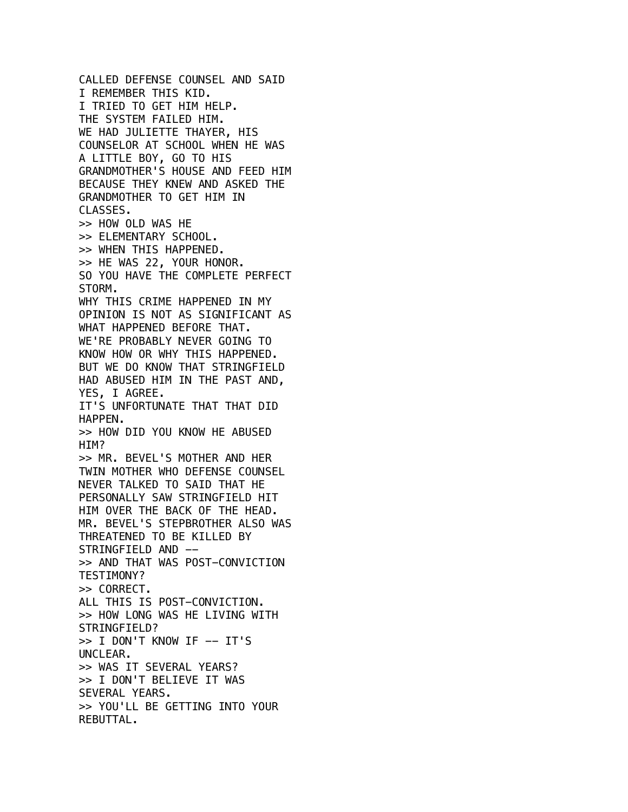CALLED DEFENSE COUNSEL AND SAID I REMEMBER THIS KID. I TRIED TO GET HIM HELP. THE SYSTEM FAILED HIM. WE HAD JULIETTE THAYER, HIS COUNSELOR AT SCHOOL WHEN HE WAS A LITTLE BOY, GO TO HIS GRANDMOTHER'S HOUSE AND FEED HIM BECAUSE THEY KNEW AND ASKED THE GRANDMOTHER TO GET HIM IN CLASSES. >> HOW OLD WAS HE >> ELEMENTARY SCHOOL. >> WHEN THIS HAPPENED. >> HE WAS 22, YOUR HONOR. SO YOU HAVE THE COMPLETE PERFECT STORM. WHY THIS CRIME HAPPENED IN MY OPINION IS NOT AS SIGNIFICANT AS WHAT HAPPENED BEFORE THAT. WE'RE PROBABLY NEVER GOING TO KNOW HOW OR WHY THIS HAPPENED. BUT WE DO KNOW THAT STRINGFIELD HAD ABUSED HIM IN THE PAST AND, YES, I AGREE. IT'S UNFORTUNATE THAT THAT DID HAPPEN. >> HOW DID YOU KNOW HE ABUSED HIM? >> MR. BEVEL'S MOTHER AND HER TWIN MOTHER WHO DEFENSE COUNSEL NEVER TALKED TO SAID THAT HE PERSONALLY SAW STRINGFIELD HIT HIM OVER THE BACK OF THE HEAD. MR. BEVEL'S STEPBROTHER ALSO WAS THREATENED TO BE KILLED BY STRINGFIELD AND -- >> AND THAT WAS POST-CONVICTION TESTIMONY? >> CORRECT. ALL THIS IS POST-CONVICTION. >> HOW LONG WAS HE LIVING WITH STRINGFIELD?  $\gg$  I DON'T KNOW IF  $-$  IT'S UNCLEAR. >> WAS IT SEVERAL YEARS? >> I DON'T BELIEVE IT WAS SEVERAL YEARS. >> YOU'LL BE GETTING INTO YOUR REBUTTAL.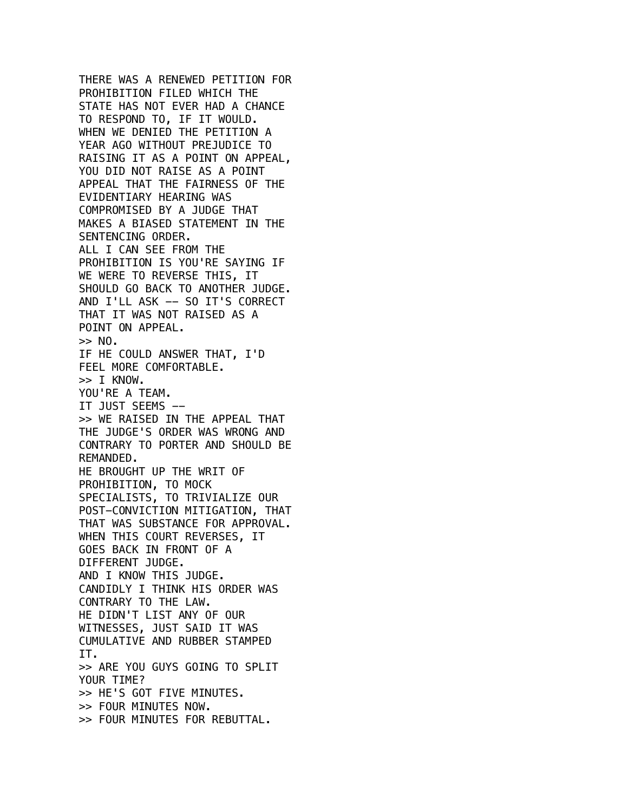THERE WAS A RENEWED PETITION FOR PROHIBITION FILED WHICH THE STATE HAS NOT EVER HAD A CHANCE TO RESPOND TO, IF IT WOULD. WHEN WE DENIED THE PETITION A YEAR AGO WITHOUT PREJUDICE TO RAISING IT AS A POINT ON APPEAL, YOU DID NOT RAISE AS A POINT APPEAL THAT THE FAIRNESS OF THE EVIDENTIARY HEARING WAS COMPROMISED BY A JUDGE THAT MAKES A BIASED STATEMENT IN THE SENTENCING ORDER. ALL I CAN SEE FROM THE PROHIBITION IS YOU'RE SAYING IF WE WERE TO REVERSE THIS, IT SHOULD GO BACK TO ANOTHER JUDGE. AND I'LL ASK -- SO IT'S CORRECT THAT IT WAS NOT RAISED AS A POINT ON APPEAL.  $\gg$  NO. IF HE COULD ANSWER THAT, I'D FEEL MORE COMFORTABLE. >> I KNOW. YOU'RE A TEAM. IT JUST SEEMS -- >> WE RAISED IN THE APPEAL THAT THE JUDGE'S ORDER WAS WRONG AND CONTRARY TO PORTER AND SHOULD BE REMANDED. HE BROUGHT UP THE WRIT OF PROHIBITION, TO MOCK SPECIALISTS, TO TRIVIALIZE OUR POST-CONVICTION MITIGATION, THAT THAT WAS SUBSTANCE FOR APPROVAL. WHEN THIS COURT REVERSES, IT GOES BACK IN FRONT OF A DIFFERENT JUDGE. AND I KNOW THIS JUDGE. CANDIDLY I THINK HIS ORDER WAS CONTRARY TO THE LAW. HE DIDN'T LIST ANY OF OUR WITNESSES, JUST SAID IT WAS CUMULATIVE AND RUBBER STAMPED IT. >> ARE YOU GUYS GOING TO SPLIT YOUR TIME? >> HE'S GOT FIVE MINUTES. >> FOUR MINUTES NOW. >> FOUR MINUTES FOR REBUTTAL.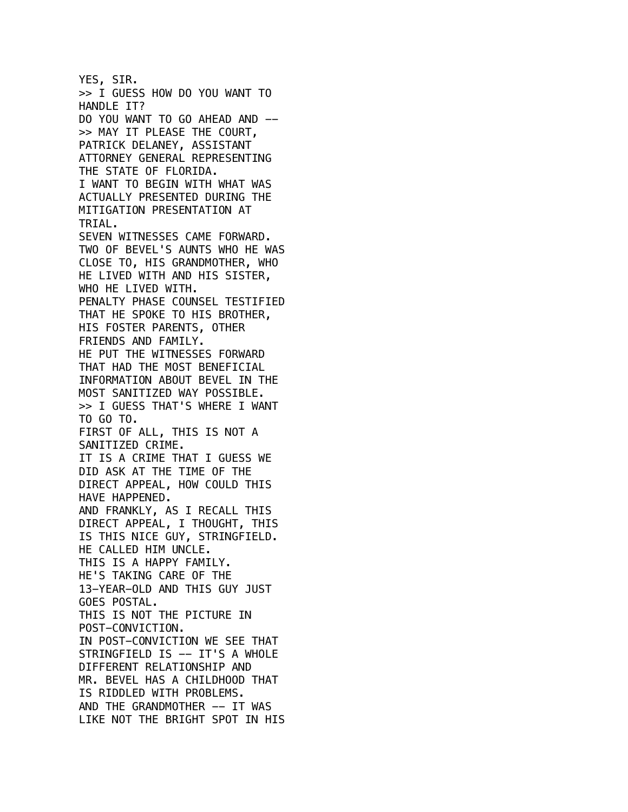YES, SIR. >> I GUESS HOW DO YOU WANT TO HANDLE IT? DO YOU WANT TO GO AHEAD AND -- >> MAY IT PLEASE THE COURT, PATRICK DELANEY, ASSISTANT ATTORNEY GENERAL REPRESENTING THE STATE OF FLORIDA. I WANT TO BEGIN WITH WHAT WAS ACTUALLY PRESENTED DURING THE MITIGATION PRESENTATION AT TRIAL. SEVEN WITNESSES CAME FORWARD. TWO OF BEVEL'S AUNTS WHO HE WAS CLOSE TO, HIS GRANDMOTHER, WHO HE LIVED WITH AND HIS SISTER, WHO HE LIVED WITH. PENALTY PHASE COUNSEL TESTIFIED THAT HE SPOKE TO HIS BROTHER, HIS FOSTER PARENTS, OTHER FRIENDS AND FAMILY. HE PUT THE WITNESSES FORWARD THAT HAD THE MOST BENEFICIAL INFORMATION ABOUT BEVEL IN THE MOST SANITIZED WAY POSSIBLE. >> I GUESS THAT'S WHERE I WANT TO GO TO. FIRST OF ALL, THIS IS NOT A SANITIZED CRIME. IT IS A CRIME THAT I GUESS WE DID ASK AT THE TIME OF THE DIRECT APPEAL, HOW COULD THIS HAVE HAPPENED. AND FRANKLY, AS I RECALL THIS DIRECT APPEAL, I THOUGHT, THIS IS THIS NICE GUY, STRINGFIELD. HE CALLED HIM UNCLE. THIS IS A HAPPY FAMILY. HE'S TAKING CARE OF THE 13-YEAR-OLD AND THIS GUY JUST GOES POSTAL. THIS IS NOT THE PICTURE IN POST-CONVICTION. IN POST-CONVICTION WE SEE THAT STRINGFIELD IS -- IT'S A WHOLE DIFFERENT RELATIONSHIP AND MR. BEVEL HAS A CHILDHOOD THAT IS RIDDLED WITH PROBLEMS. AND THE GRANDMOTHER -- IT WAS LIKE NOT THE BRIGHT SPOT IN HIS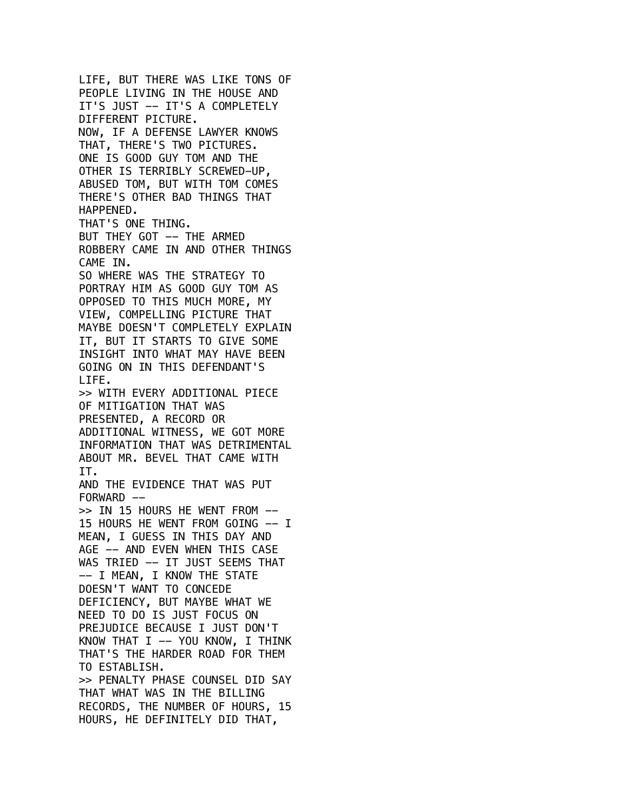LIFE, BUT THERE WAS LIKE TONS OF PEOPLE LIVING IN THE HOUSE AND IT'S JUST -- IT'S A COMPLETELY DIFFERENT PICTURE. NOW, IF A DEFENSE LAWYER KNOWS THAT, THERE'S TWO PICTURES. ONE IS GOOD GUY TOM AND THE OTHER IS TERRIBLY SCREWED-UP, ABUSED TOM, BUT WITH TOM COMES THERE'S OTHER BAD THINGS THAT HAPPENED. THAT'S ONE THING. BUT THEY GOT -- THE ARMED ROBBERY CAME IN AND OTHER THINGS CAME IN. SO WHERE WAS THE STRATEGY TO PORTRAY HIM AS GOOD GUY TOM AS OPPOSED TO THIS MUCH MORE, MY VIEW, COMPELLING PICTURE THAT MAYBE DOESN'T COMPLETELY EXPLAIN IT, BUT IT STARTS TO GIVE SOME INSIGHT INTO WHAT MAY HAVE BEEN GOING ON IN THIS DEFENDANT'S LIFE. >> WITH EVERY ADDITIONAL PIECE OF MITIGATION THAT WAS PRESENTED, A RECORD OR ADDITIONAL WITNESS, WE GOT MORE INFORMATION THAT WAS DETRIMENTAL ABOUT MR. BEVEL THAT CAME WITH IT. AND THE EVIDENCE THAT WAS PUT FORWARD -->> IN 15 HOURS HE WENT FROM -- 15 HOURS HE WENT FROM GOING -- I MEAN, I GUESS IN THIS DAY AND AGE -- AND EVEN WHEN THIS CASE WAS TRIED -- IT JUST SEEMS THAT -- I MEAN, I KNOW THE STATE DOESN'T WANT TO CONCEDE DEFICIENCY, BUT MAYBE WHAT WE NEED TO DO IS JUST FOCUS ON PREJUDICE BECAUSE I JUST DON'T KNOW THAT I  $--$  YOU KNOW, I THINK THAT'S THE HARDER ROAD FOR THEM TO ESTABLISH. >> PENALTY PHASE COUNSEL DID SAY THAT WHAT WAS IN THE BILLING RECORDS, THE NUMBER OF HOURS, 15 HOURS, HE DEFINITELY DID THAT,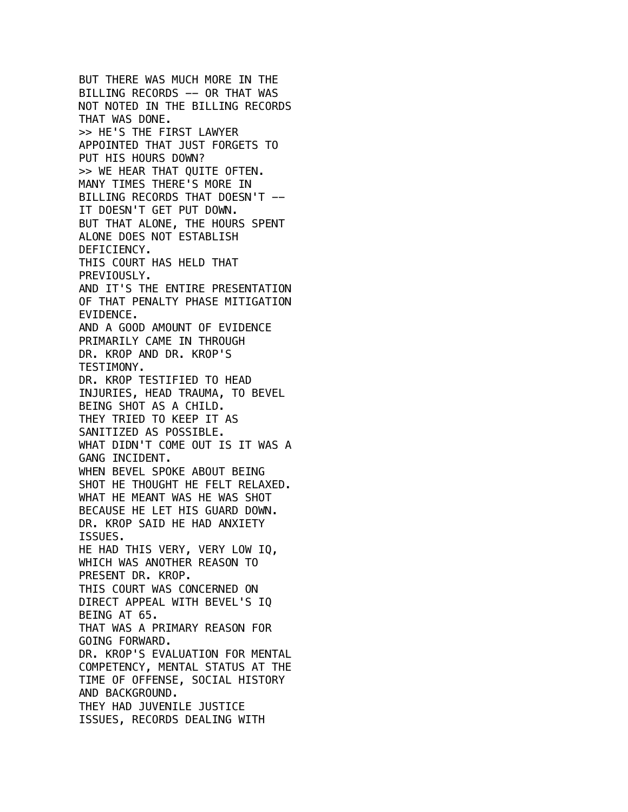BUT THERE WAS MUCH MORE IN THE BILLING RECORDS -- OR THAT WAS NOT NOTED IN THE BILLING RECORDS THAT WAS DONE. >> HE'S THE FIRST LAWYER APPOINTED THAT JUST FORGETS TO PUT HIS HOURS DOWN? >> WE HEAR THAT QUITE OFTEN. MANY TIMES THERE'S MORE IN BILLING RECORDS THAT DOESN'T -- IT DOESN'T GET PUT DOWN. BUT THAT ALONE, THE HOURS SPENT ALONE DOES NOT ESTABLISH DEFICIENCY. THIS COURT HAS HELD THAT PREVIOUSLY. AND IT'S THE ENTIRE PRESENTATION OF THAT PENALTY PHASE MITIGATION EVIDENCE. AND A GOOD AMOUNT OF EVIDENCE PRIMARILY CAME IN THROUGH DR. KROP AND DR. KROP'S TESTIMONY. DR. KROP TESTIFIED TO HEAD INJURIES, HEAD TRAUMA, TO BEVEL BEING SHOT AS A CHILD. THEY TRIED TO KEEP IT AS SANITIZED AS POSSIBLE. WHAT DIDN'T COME OUT IS IT WAS A GANG INCIDENT. WHEN BEVEL SPOKE ABOUT BEING SHOT HE THOUGHT HE FELT RELAXED. WHAT HE MEANT WAS HE WAS SHOT BECAUSE HE LET HIS GUARD DOWN. DR. KROP SAID HE HAD ANXIETY ISSUES. HE HAD THIS VERY, VERY LOW IQ, WHICH WAS ANOTHER REASON TO PRESENT DR. KROP. THIS COURT WAS CONCERNED ON DIRECT APPEAL WITH BEVEL'S IQ BEING AT 65. THAT WAS A PRIMARY REASON FOR GOING FORWARD. DR. KROP'S EVALUATION FOR MENTAL COMPETENCY, MENTAL STATUS AT THE TIME OF OFFENSE, SOCIAL HISTORY AND BACKGROUND. THEY HAD JUVENILE JUSTICE ISSUES, RECORDS DEALING WITH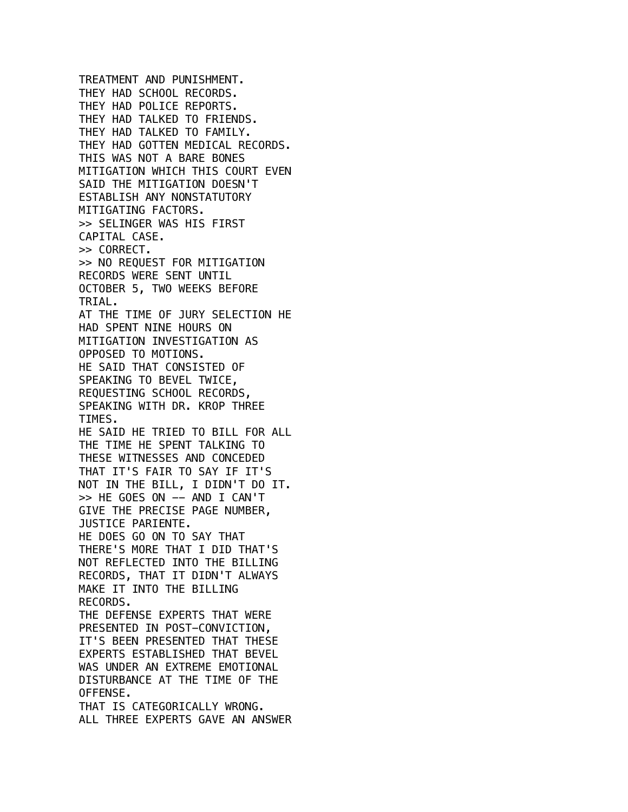TREATMENT AND PUNISHMENT. THEY HAD SCHOOL RECORDS. THEY HAD POLICE REPORTS. THEY HAD TALKED TO FRIENDS. THEY HAD TALKED TO FAMILY. THEY HAD GOTTEN MEDICAL RECORDS. THIS WAS NOT A BARE BONES MITIGATION WHICH THIS COURT EVEN SAID THE MITIGATION DOESN'T ESTABLISH ANY NONSTATUTORY MITIGATING FACTORS. >> SELINGER WAS HIS FIRST CAPITAL CASE. >> CORRECT. >> NO REQUEST FOR MITIGATION RECORDS WERE SENT UNTIL OCTOBER 5, TWO WEEKS BEFORE TRIAL. AT THE TIME OF JURY SELECTION HE HAD SPENT NINE HOURS ON MITIGATION INVESTIGATION AS OPPOSED TO MOTIONS. HE SAID THAT CONSISTED OF SPEAKING TO BEVEL TWICE, REQUESTING SCHOOL RECORDS, SPEAKING WITH DR. KROP THREE TIMES. HE SAID HE TRIED TO BILL FOR ALL THE TIME HE SPENT TALKING TO THESE WITNESSES AND CONCEDED THAT IT'S FAIR TO SAY IF IT'S NOT IN THE BILL, I DIDN'T DO IT. >> HE GOES ON -- AND I CAN'T GIVE THE PRECISE PAGE NUMBER, JUSTICE PARIENTE. HE DOES GO ON TO SAY THAT THERE'S MORE THAT I DID THAT'S NOT REFLECTED INTO THE BILLING RECORDS, THAT IT DIDN'T ALWAYS MAKE IT INTO THE BILLING RECORDS. THE DEFENSE EXPERTS THAT WERE PRESENTED IN POST-CONVICTION, IT'S BEEN PRESENTED THAT THESE EXPERTS ESTABLISHED THAT BEVEL WAS UNDER AN EXTREME EMOTIONAL DISTURBANCE AT THE TIME OF THE OFFENSE. THAT IS CATEGORICALLY WRONG. ALL THREE EXPERTS GAVE AN ANSWER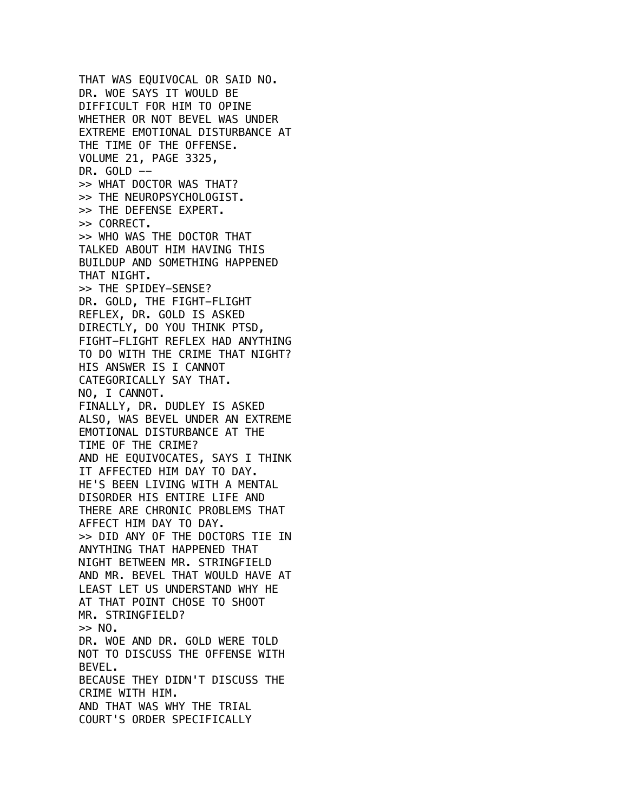THAT WAS EQUIVOCAL OR SAID NO. DR. WOE SAYS IT WOULD BE DIFFICULT FOR HIM TO OPINE WHETHER OR NOT BEVEL WAS UNDER EXTREME EMOTIONAL DISTURBANCE AT THE TIME OF THE OFFENSE. VOLUME 21, PAGE 3325, DR. GOLD  $-$ >> WHAT DOCTOR WAS THAT? >> THE NEUROPSYCHOLOGIST. >> THE DEFENSE EXPERT. >> CORRECT. >> WHO WAS THE DOCTOR THAT TALKED ABOUT HIM HAVING THIS BUILDUP AND SOMETHING HAPPENED THAT NIGHT. >> THE SPIDEY-SENSE? DR. GOLD, THE FIGHT-FLIGHT REFLEX, DR. GOLD IS ASKED DIRECTLY, DO YOU THINK PTSD, FIGHT-FLIGHT REFLEX HAD ANYTHING TO DO WITH THE CRIME THAT NIGHT? HIS ANSWER IS I CANNOT CATEGORICALLY SAY THAT. NO, I CANNOT. FINALLY, DR. DUDLEY IS ASKED ALSO, WAS BEVEL UNDER AN EXTREME EMOTIONAL DISTURBANCE AT THE TIME OF THE CRIME? AND HE EQUIVOCATES, SAYS I THINK IT AFFECTED HIM DAY TO DAY. HE'S BEEN LIVING WITH A MENTAL DISORDER HIS ENTIRE LIFE AND THERE ARE CHRONIC PROBLEMS THAT AFFECT HIM DAY TO DAY. >> DID ANY OF THE DOCTORS TIE IN ANYTHING THAT HAPPENED THAT NIGHT BETWEEN MR. STRINGFIELD AND MR. BEVEL THAT WOULD HAVE AT LEAST LET US UNDERSTAND WHY HE AT THAT POINT CHOSE TO SHOOT MR. STRINGFIELD?  $>>$  NO. DR. WOE AND DR. GOLD WERE TOLD NOT TO DISCUSS THE OFFENSE WITH BEVEL. BECAUSE THEY DIDN'T DISCUSS THE CRIME WITH HIM. AND THAT WAS WHY THE TRIAL COURT'S ORDER SPECIFICALLY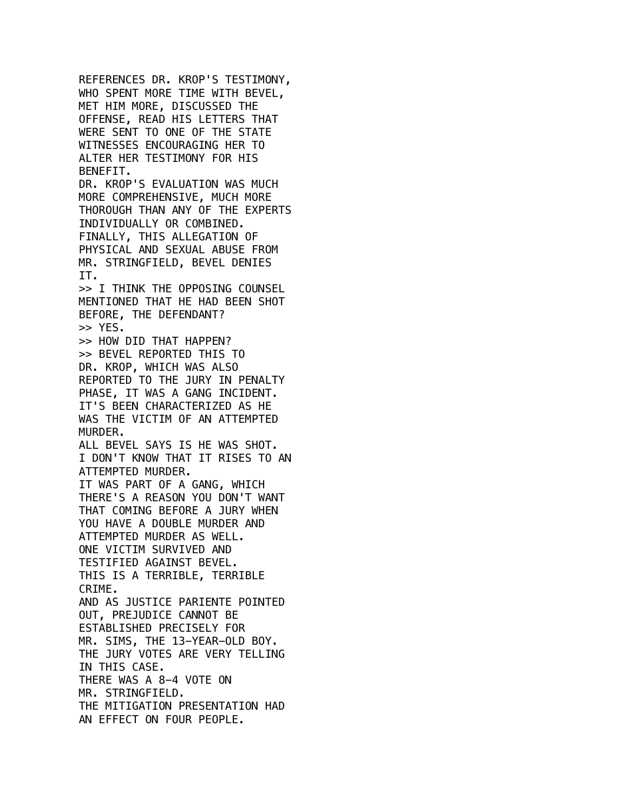REFERENCES DR. KROP'S TESTIMONY, WHO SPENT MORE TIME WITH BEVEL, MET HIM MORE, DISCUSSED THE OFFENSE, READ HIS LETTERS THAT WERE SENT TO ONE OF THE STATE WITNESSES ENCOURAGING HER TO ALTER HER TESTIMONY FOR HIS BENEFIT. DR. KROP'S EVALUATION WAS MUCH MORE COMPREHENSIVE, MUCH MORE THOROUGH THAN ANY OF THE EXPERTS INDIVIDUALLY OR COMBINED. FINALLY, THIS ALLEGATION OF PHYSICAL AND SEXUAL ABUSE FROM MR. STRINGFIELD, BEVEL DENIES IT. >> I THINK THE OPPOSING COUNSEL MENTIONED THAT HE HAD BEEN SHOT BEFORE, THE DEFENDANT? >> YES. >> HOW DID THAT HAPPEN? >> BEVEL REPORTED THIS TO DR. KROP, WHICH WAS ALSO REPORTED TO THE JURY IN PENALTY PHASE, IT WAS A GANG INCIDENT. IT'S BEEN CHARACTERIZED AS HE WAS THE VICTIM OF AN ATTEMPTED MURDER. ALL BEVEL SAYS IS HE WAS SHOT. I DON'T KNOW THAT IT RISES TO AN ATTEMPTED MURDER. IT WAS PART OF A GANG, WHICH THERE'S A REASON YOU DON'T WANT THAT COMING BEFORE A JURY WHEN YOU HAVE A DOUBLE MURDER AND ATTEMPTED MURDER AS WELL. ONE VICTIM SURVIVED AND TESTIFIED AGAINST BEVEL. THIS IS A TERRIBLE, TERRIBLE CRIME. AND AS JUSTICE PARIENTE POINTED OUT, PREJUDICE CANNOT BE ESTABLISHED PRECISELY FOR MR. SIMS, THE 13-YEAR-OLD BOY. THE JURY VOTES ARE VERY TELLING IN THIS CASE. THERE WAS A 8-4 VOTE ON MR. STRINGFIELD. THE MITIGATION PRESENTATION HAD AN EFFECT ON FOUR PEOPLE.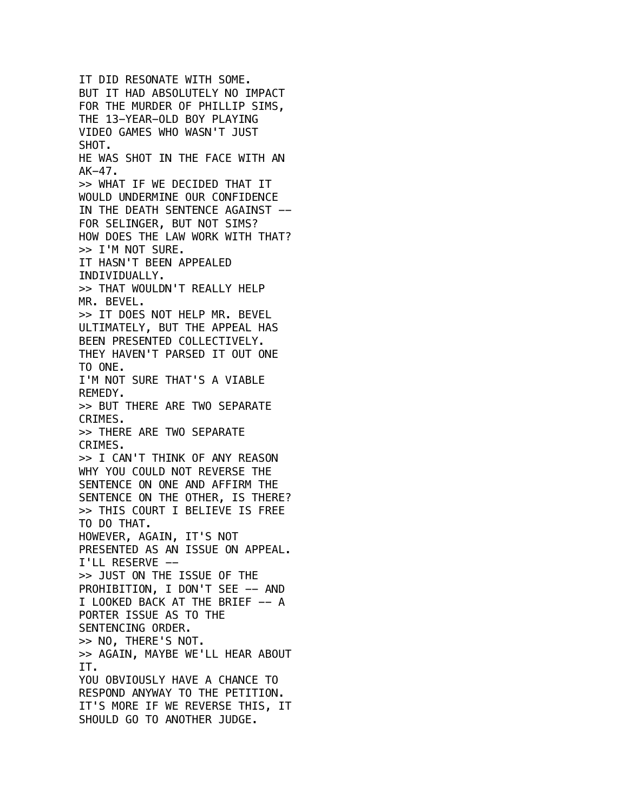IT DID RESONATE WITH SOME. BUT IT HAD ABSOLUTELY NO IMPACT FOR THE MURDER OF PHILLIP SIMS, THE 13-YEAR-OLD BOY PLAYING VIDEO GAMES WHO WASN'T JUST SHOT. HE WAS SHOT IN THE FACE WITH AN  $AK-47.$ >> WHAT IF WE DECIDED THAT IT WOULD UNDERMINE OUR CONFIDENCE IN THE DEATH SENTENCE AGAINST --FOR SELINGER, BUT NOT SIMS? HOW DOES THE LAW WORK WITH THAT? >> I'M NOT SURE. IT HASN'T BEEN APPEALED INDIVIDUALLY. >> THAT WOULDN'T REALLY HELP MR. BEVEL. >> IT DOES NOT HELP MR. BEVEL ULTIMATELY, BUT THE APPEAL HAS BEEN PRESENTED COLLECTIVELY. THEY HAVEN'T PARSED IT OUT ONE TO ONE. I'M NOT SURE THAT'S A VIABLE REMEDY. >> BUT THERE ARE TWO SEPARATE CRIMES. >> THERE ARE TWO SEPARATE CRIMES. >> I CAN'T THINK OF ANY REASON WHY YOU COULD NOT REVERSE THE SENTENCE ON ONE AND AFFIRM THE SENTENCE ON THE OTHER, IS THERE? >> THIS COURT I BELIEVE IS FREE TO DO THAT. HOWEVER, AGAIN, IT'S NOT PRESENTED AS AN ISSUE ON APPEAL. I'LL RESERVE -- >> JUST ON THE ISSUE OF THE PROHIBITION, I DON'T SEE -- AND I LOOKED BACK AT THE BRIEF -- A PORTER ISSUE AS TO THE SENTENCING ORDER. >> NO, THERE'S NOT. >> AGAIN, MAYBE WE'LL HEAR ABOUT IT. YOU OBVIOUSLY HAVE A CHANCE TO RESPOND ANYWAY TO THE PETITION. IT'S MORE IF WE REVERSE THIS, IT SHOULD GO TO ANOTHER JUDGE.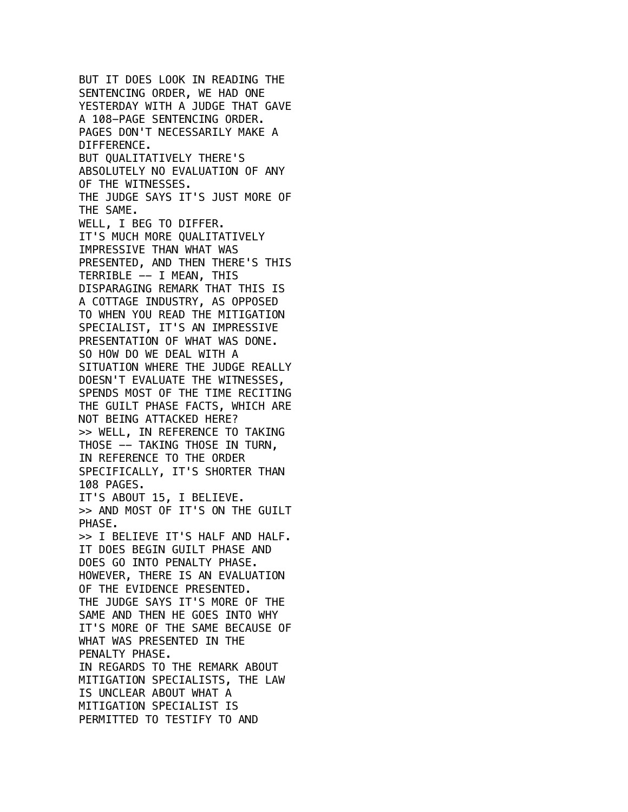BUT IT DOES LOOK IN READING THE SENTENCING ORDER, WE HAD ONE YESTERDAY WITH A JUDGE THAT GAVE A 108-PAGE SENTENCING ORDER. PAGES DON'T NECESSARILY MAKE A DIFFERENCE. BUT QUALITATIVELY THERE'S ABSOLUTELY NO EVALUATION OF ANY OF THE WITNESSES. THE JUDGE SAYS IT'S JUST MORE OF THE SAME. WELL, I BEG TO DIFFER. IT'S MUCH MORE QUALITATIVELY IMPRESSIVE THAN WHAT WAS PRESENTED, AND THEN THERE'S THIS TERRIBLE -- I MEAN, THIS DISPARAGING REMARK THAT THIS IS A COTTAGE INDUSTRY, AS OPPOSED TO WHEN YOU READ THE MITIGATION SPECIALIST, IT'S AN IMPRESSIVE PRESENTATION OF WHAT WAS DONE. SO HOW DO WE DEAL WITH A SITUATION WHERE THE JUDGE REALLY DOESN'T EVALUATE THE WITNESSES, SPENDS MOST OF THE TIME RECITING THE GUILT PHASE FACTS, WHICH ARE NOT BEING ATTACKED HERE? >> WELL, IN REFERENCE TO TAKING THOSE -- TAKING THOSE IN TURN, IN REFERENCE TO THE ORDER SPECIFICALLY, IT'S SHORTER THAN 108 PAGES. IT'S ABOUT 15, I BELIEVE. >> AND MOST OF IT'S ON THE GUILT PHASE. >> I BELIEVE IT'S HALF AND HALF. IT DOES BEGIN GUILT PHASE AND DOES GO INTO PENALTY PHASE. HOWEVER, THERE IS AN EVALUATION OF THE EVIDENCE PRESENTED. THE JUDGE SAYS IT'S MORE OF THE SAME AND THEN HE GOES INTO WHY IT'S MORE OF THE SAME BECAUSE OF WHAT WAS PRESENTED IN THE PENALTY PHASE. IN REGARDS TO THE REMARK ABOUT MITIGATION SPECIALISTS, THE LAW IS UNCLEAR ABOUT WHAT A MITIGATION SPECIALIST IS PERMITTED TO TESTIFY TO AND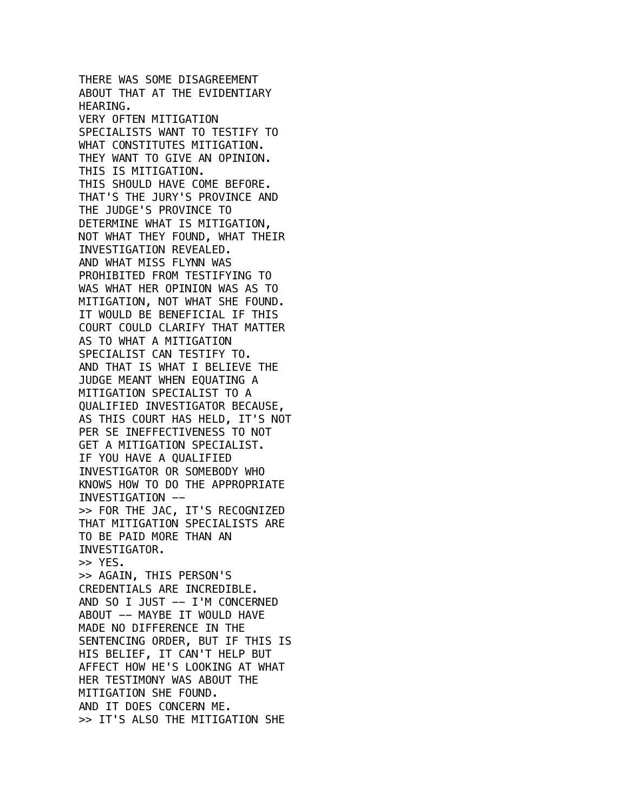THERE WAS SOME DISAGREEMENT ABOUT THAT AT THE EVIDENTIARY HEARING. VERY OFTEN MITIGATION SPECIALISTS WANT TO TESTIFY TO WHAT CONSTITUTES MITIGATION. THEY WANT TO GIVE AN OPINION. THIS IS MITIGATION. THIS SHOULD HAVE COME BEFORE. THAT'S THE JURY'S PROVINCE AND THE JUDGE'S PROVINCE TO DETERMINE WHAT IS MITIGATION, NOT WHAT THEY FOUND, WHAT THEIR INVESTIGATION REVEALED. AND WHAT MISS FLYNN WAS PROHIBITED FROM TESTIFYING TO WAS WHAT HER OPINION WAS AS TO MITIGATION, NOT WHAT SHE FOUND. IT WOULD BE BENEFICIAL IF THIS COURT COULD CLARIFY THAT MATTER AS TO WHAT A MITIGATION SPECIALIST CAN TESTIFY TO. AND THAT IS WHAT I BELIEVE THE JUDGE MEANT WHEN EQUATING A MITIGATION SPECIALIST TO A QUALIFIED INVESTIGATOR BECAUSE, AS THIS COURT HAS HELD, IT'S NOT PER SE INEFFECTIVENESS TO NOT GET A MITIGATION SPECIALIST. IF YOU HAVE A QUALIFIED INVESTIGATOR OR SOMEBODY WHO KNOWS HOW TO DO THE APPROPRIATE INVESTIGATION -- >> FOR THE JAC, IT'S RECOGNIZED THAT MITIGATION SPECIALISTS ARE TO BE PAID MORE THAN AN INVESTIGATOR. >> YES. >> AGAIN, THIS PERSON'S CREDENTIALS ARE INCREDIBLE. AND SO I JUST -- I'M CONCERNED ABOUT -- MAYBE IT WOULD HAVE MADE NO DIFFERENCE IN THE SENTENCING ORDER, BUT IF THIS IS HIS BELIEF, IT CAN'T HELP BUT AFFECT HOW HE'S LOOKING AT WHAT HER TESTIMONY WAS ABOUT THE MITIGATION SHE FOUND. AND IT DOES CONCERN ME. >> IT'S ALSO THE MITIGATION SHE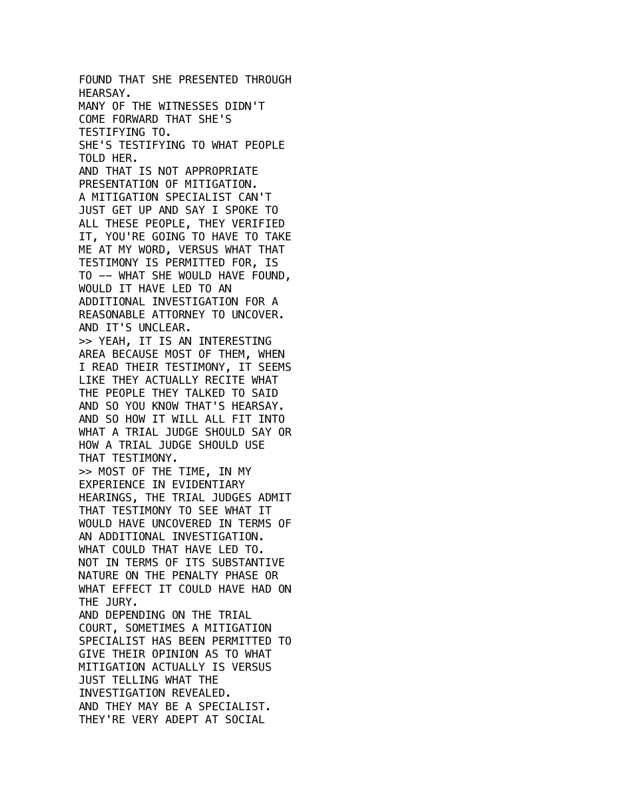FOUND THAT SHE PRESENTED THROUGH HEARSAY. MANY OF THE WITNESSES DIDN'T COME FORWARD THAT SHE'S TESTIFYING TO. SHE'S TESTIFYING TO WHAT PEOPLE TOLD HER. AND THAT IS NOT APPROPRIATE PRESENTATION OF MITIGATION. A MITIGATION SPECIALIST CAN'T JUST GET UP AND SAY I SPOKE TO ALL THESE PEOPLE, THEY VERIFIED IT, YOU'RE GOING TO HAVE TO TAKE ME AT MY WORD, VERSUS WHAT THAT TESTIMONY IS PERMITTED FOR, IS TO -- WHAT SHE WOULD HAVE FOUND, WOULD IT HAVE LED TO AN ADDITIONAL INVESTIGATION FOR A REASONABLE ATTORNEY TO UNCOVER. AND IT'S UNCLEAR. >> YEAH, IT IS AN INTERESTING AREA BECAUSE MOST OF THEM, WHEN I READ THEIR TESTIMONY, IT SEEMS LIKE THEY ACTUALLY RECITE WHAT THE PEOPLE THEY TALKED TO SAID AND SO YOU KNOW THAT'S HEARSAY. AND SO HOW IT WILL ALL FIT INTO WHAT A TRIAL JUDGE SHOULD SAY OR HOW A TRIAL JUDGE SHOULD USE THAT TESTIMONY. >> MOST OF THE TIME, IN MY EXPERIENCE IN EVIDENTIARY HEARINGS, THE TRIAL JUDGES ADMIT THAT TESTIMONY TO SEE WHAT IT WOULD HAVE UNCOVERED IN TERMS OF AN ADDITIONAL INVESTIGATION. WHAT COULD THAT HAVE LED TO. NOT IN TERMS OF ITS SUBSTANTIVE NATURE ON THE PENALTY PHASE OR WHAT EFFECT IT COULD HAVE HAD ON THE JURY. AND DEPENDING ON THE TRIAL COURT, SOMETIMES A MITIGATION SPECIALIST HAS BEEN PERMITTED TO GIVE THEIR OPINION AS TO WHAT MITIGATION ACTUALLY IS VERSUS JUST TELLING WHAT THE INVESTIGATION REVEALED. AND THEY MAY BE A SPECIALIST. THEY'RE VERY ADEPT AT SOCIAL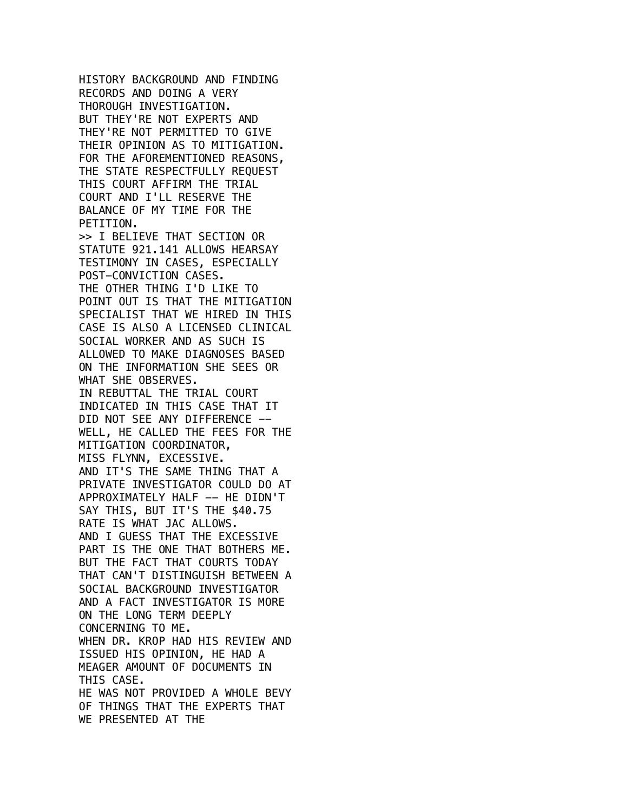HISTORY BACKGROUND AND FINDING RECORDS AND DOING A VERY THOROUGH INVESTIGATION. BUT THEY'RE NOT EXPERTS AND THEY'RE NOT PERMITTED TO GIVE THEIR OPINION AS TO MITIGATION. FOR THE AFOREMENTIONED REASONS, THE STATE RESPECTFULLY REQUEST THIS COURT AFFIRM THE TRIAL COURT AND I'LL RESERVE THE BALANCE OF MY TIME FOR THE PETITION. >> I BELIEVE THAT SECTION OR STATUTE 921.141 ALLOWS HEARSAY TESTIMONY IN CASES, ESPECIALLY POST-CONVICTION CASES. THE OTHER THING I'D LIKE TO POINT OUT IS THAT THE MITIGATION SPECIALIST THAT WE HIRED IN THIS CASE IS ALSO A LICENSED CLINICAL SOCIAL WORKER AND AS SUCH IS ALLOWED TO MAKE DIAGNOSES BASED ON THE INFORMATION SHE SEES OR WHAT SHE OBSERVES. IN REBUTTAL THE TRIAL COURT INDICATED IN THIS CASE THAT IT DID NOT SEE ANY DIFFERENCE -- WELL, HE CALLED THE FEES FOR THE MITIGATION COORDINATOR, MISS FLYNN, EXCESSIVE. AND IT'S THE SAME THING THAT A PRIVATE INVESTIGATOR COULD DO AT APPROXIMATELY HALF -- HE DIDN'T SAY THIS, BUT IT'S THE \$40.75 RATE IS WHAT JAC ALLOWS. AND I GUESS THAT THE EXCESSIVE PART IS THE ONE THAT BOTHERS ME. BUT THE FACT THAT COURTS TODAY THAT CAN'T DISTINGUISH BETWEEN A SOCIAL BACKGROUND INVESTIGATOR AND A FACT INVESTIGATOR IS MORE ON THE LONG TERM DEEPLY CONCERNING TO ME. WHEN DR. KROP HAD HIS REVIEW AND ISSUED HIS OPINION, HE HAD A MEAGER AMOUNT OF DOCUMENTS IN THIS CASE. HE WAS NOT PROVIDED A WHOLE BEVY OF THINGS THAT THE EXPERTS THAT WE PRESENTED AT THE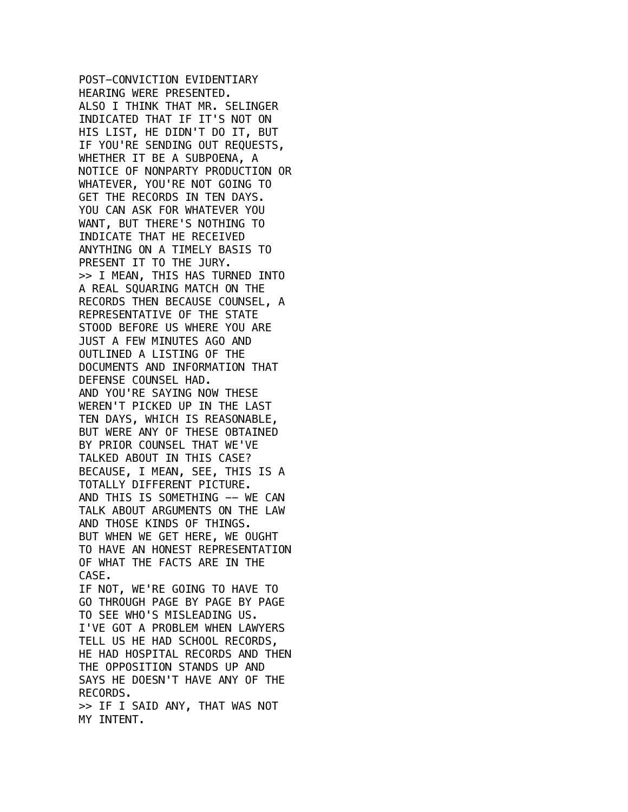POST-CONVICTION EVIDENTIARY HEARING WERE PRESENTED. ALSO I THINK THAT MR. SELINGER INDICATED THAT IF IT'S NOT ON HIS LIST, HE DIDN'T DO IT, BUT IF YOU'RE SENDING OUT REQUESTS, WHETHER IT BE A SUBPOENA, A NOTICE OF NONPARTY PRODUCTION OR WHATEVER, YOU'RE NOT GOING TO GET THE RECORDS IN TEN DAYS. YOU CAN ASK FOR WHATEVER YOU WANT, BUT THERE'S NOTHING TO INDICATE THAT HE RECEIVED ANYTHING ON A TIMELY BASIS TO PRESENT IT TO THE JURY. >> I MEAN, THIS HAS TURNED INTO A REAL SQUARING MATCH ON THE RECORDS THEN BECAUSE COUNSEL, A REPRESENTATIVE OF THE STATE STOOD BEFORE US WHERE YOU ARE JUST A FEW MINUTES AGO AND OUTLINED A LISTING OF THE DOCUMENTS AND INFORMATION THAT DEFENSE COUNSEL HAD. AND YOU'RE SAYING NOW THESE WEREN'T PICKED UP IN THE LAST TEN DAYS, WHICH IS REASONABLE, BUT WERE ANY OF THESE OBTAINED BY PRIOR COUNSEL THAT WE'VE TALKED ABOUT IN THIS CASE? BECAUSE, I MEAN, SEE, THIS IS A TOTALLY DIFFERENT PICTURE. AND THIS IS SOMETHING -- WE CAN TALK ABOUT ARGUMENTS ON THE LAW AND THOSE KINDS OF THINGS. BUT WHEN WE GET HERE, WE OUGHT TO HAVE AN HONEST REPRESENTATION OF WHAT THE FACTS ARE IN THE CASE. IF NOT, WE'RE GOING TO HAVE TO GO THROUGH PAGE BY PAGE BY PAGE TO SEE WHO'S MISLEADING US. I'VE GOT A PROBLEM WHEN LAWYERS TELL US HE HAD SCHOOL RECORDS, HE HAD HOSPITAL RECORDS AND THEN THE OPPOSITION STANDS UP AND SAYS HE DOESN'T HAVE ANY OF THE RECORDS. >> IF I SAID ANY, THAT WAS NOT MY INTENT.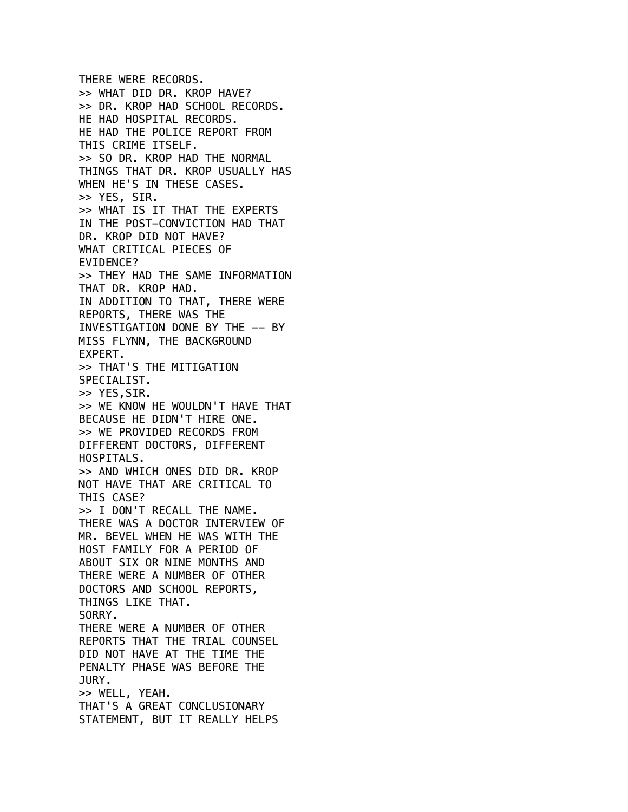THERE WERE RECORDS. >> WHAT DID DR. KROP HAVE? >> DR. KROP HAD SCHOOL RECORDS. HE HAD HOSPITAL RECORDS. HE HAD THE POLICE REPORT FROM THIS CRIME ITSELF. >> SO DR. KROP HAD THE NORMAL THINGS THAT DR. KROP USUALLY HAS WHEN HE'S IN THESE CASES. >> YES, SIR. >> WHAT IS IT THAT THE EXPERTS IN THE POST-CONVICTION HAD THAT DR. KROP DID NOT HAVE? WHAT CRITICAL PIECES OF EVIDENCE? >> THEY HAD THE SAME INFORMATION THAT DR. KROP HAD. IN ADDITION TO THAT, THERE WERE REPORTS, THERE WAS THE INVESTIGATION DONE BY THE -- BY MISS FLYNN, THE BACKGROUND EXPERT. >> THAT'S THE MITIGATION SPECIALIST. >> YES,SIR. >> WE KNOW HE WOULDN'T HAVE THAT BECAUSE HE DIDN'T HIRE ONE. >> WE PROVIDED RECORDS FROM DIFFERENT DOCTORS, DIFFERENT HOSPITALS. >> AND WHICH ONES DID DR. KROP NOT HAVE THAT ARE CRITICAL TO THIS CASE? >> I DON'T RECALL THE NAME. THERE WAS A DOCTOR INTERVIEW OF MR. BEVEL WHEN HE WAS WITH THE HOST FAMILY FOR A PERIOD OF ABOUT SIX OR NINE MONTHS AND THERE WERE A NUMBER OF OTHER DOCTORS AND SCHOOL REPORTS, THINGS LIKE THAT. SORRY. THERE WERE A NUMBER OF OTHER REPORTS THAT THE TRIAL COUNSEL DID NOT HAVE AT THE TIME THE PENALTY PHASE WAS BEFORE THE JURY. >> WELL, YEAH. THAT'S A GREAT CONCLUSIONARY STATEMENT, BUT IT REALLY HELPS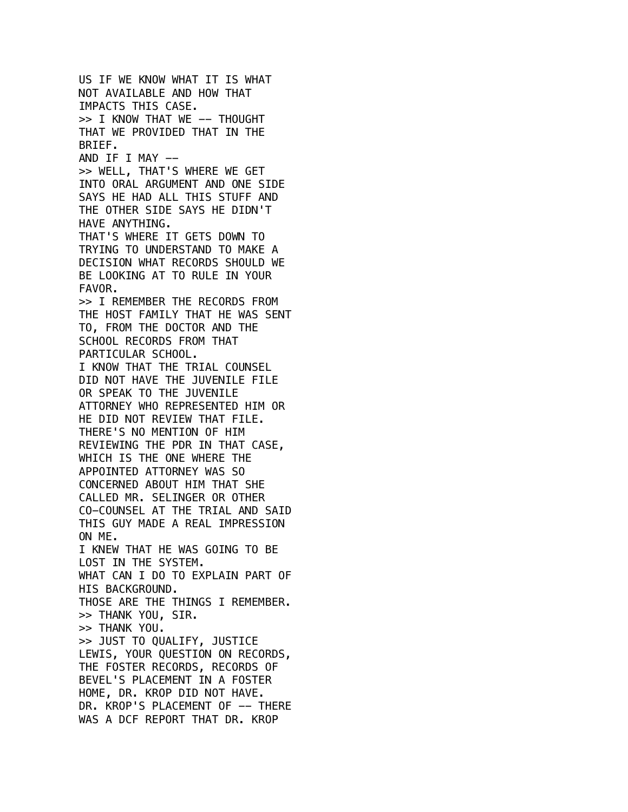US IF WE KNOW WHAT IT IS WHAT NOT AVAILABLE AND HOW THAT IMPACTS THIS CASE. >> I KNOW THAT WE -- THOUGHT THAT WE PROVIDED THAT IN THE BRIEF. AND IF I MAY -->> WELL, THAT'S WHERE WE GET INTO ORAL ARGUMENT AND ONE SIDE SAYS HE HAD ALL THIS STUFF AND THE OTHER SIDE SAYS HE DIDN'T HAVE ANYTHING. THAT'S WHERE IT GETS DOWN TO TRYING TO UNDERSTAND TO MAKE A DECISION WHAT RECORDS SHOULD WE BE LOOKING AT TO RULE IN YOUR FAVOR. >> I REMEMBER THE RECORDS FROM THE HOST FAMILY THAT HE WAS SENT TO, FROM THE DOCTOR AND THE SCHOOL RECORDS FROM THAT PARTICULAR SCHOOL. I KNOW THAT THE TRIAL COUNSEL DID NOT HAVE THE JUVENILE FILE OR SPEAK TO THE JUVENILE ATTORNEY WHO REPRESENTED HIM OR HE DID NOT REVIEW THAT FILE. THERE'S NO MENTION OF HIM REVIEWING THE PDR IN THAT CASE, WHICH IS THE ONE WHERE THE APPOINTED ATTORNEY WAS SO CONCERNED ABOUT HIM THAT SHE CALLED MR. SELINGER OR OTHER CO-COUNSEL AT THE TRIAL AND SAID THIS GUY MADE A REAL IMPRESSION ON ME. I KNEW THAT HE WAS GOING TO BE LOST IN THE SYSTEM. WHAT CAN I DO TO EXPLAIN PART OF HIS BACKGROUND. THOSE ARE THE THINGS I REMEMBER. >> THANK YOU, SIR. >> THANK YOU. >> JUST TO QUALIFY, JUSTICE LEWIS, YOUR QUESTION ON RECORDS, THE FOSTER RECORDS, RECORDS OF BEVEL'S PLACEMENT IN A FOSTER HOME, DR. KROP DID NOT HAVE. DR. KROP'S PLACEMENT OF -- THERE WAS A DCF REPORT THAT DR. KROP